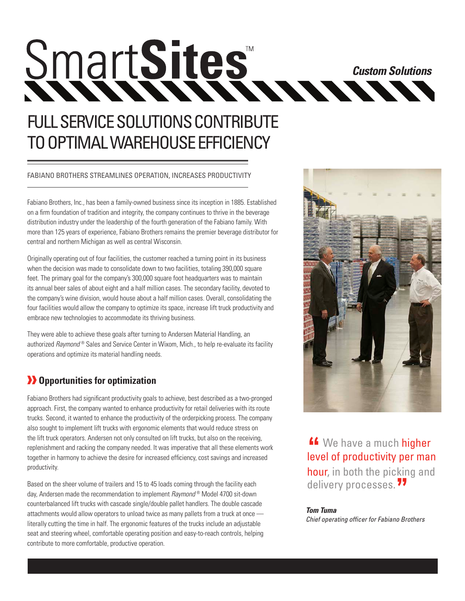# SmartSites **Custom Solutions**

# FULL SERVICE SOLUTIONS CONTRIBUTE TO OPTIMAL WAREHOUSE EFFICIENCY

#### FABIANO BROTHERS STREAMLINES OPERATION, INCREASES PRODUCTIVITY

Fabiano Brothers, Inc., has been a family-owned business since its inception in 1885. Established on a firm foundation of tradition and integrity, the company continues to thrive in the beverage distribution industry under the leadership of the fourth generation of the Fabiano family. With more than 125 years of experience, Fabiano Brothers remains the premier beverage distributor for central and northern Michigan as well as central Wisconsin.

Originally operating out of four facilities, the customer reached a turning point in its business when the decision was made to consolidate down to two facilities, totaling 390,000 square feet. The primary goal for the company's 300,000 square foot headquarters was to maintain its annual beer sales of about eight and a half million cases. The secondary facility, devoted to the company's wine division, would house about a half million cases. Overall, consolidating the four facilities would allow the company to optimize its space, increase lift truck productivity and embrace new technologies to accommodate its thriving business.

They were able to achieve these goals after turning to Andersen Material Handling, an authorized *Raymond* ® Sales and Service Center in Wixom, Mich., to help re-evaluate its facility operations and optimize its material handling needs.

## *D* Opportunities for optimization

Fabiano Brothers had significant productivity goals to achieve, best described as a two-pronged approach. First, the company wanted to enhance productivity for retail deliveries with its route trucks. Second, it wanted to enhance the productivity of the orderpicking process. The company also sought to implement lift trucks with ergonomic elements that would reduce stress on the lift truck operators. Andersen not only consulted on lift trucks, but also on the receiving, replenishment and racking the company needed. It was imperative that all these elements work together in harmony to achieve the desire for increased efficiency, cost savings and increased productivity.

Based on the sheer volume of trailers and 15 to 45 loads coming through the facility each day, Andersen made the recommendation to implement *Raymond* ® Model 4700 sit-down counterbalanced lift trucks with cascade single/double pallet handlers. The double cascade attachments would allow operators to unload twice as many pallets from a truck at once literally cutting the time in half. The ergonomic features of the trucks include an adjustable seat and steering wheel, comfortable operating position and easy-to-reach controls, helping contribute to more comfortable, productive operation.



**"** We have a much higher level of productivity per man hour, in both the picking and delivery processes.**"**

#### *Tom Tuma Chief operating officer for Fabiano Brothers*